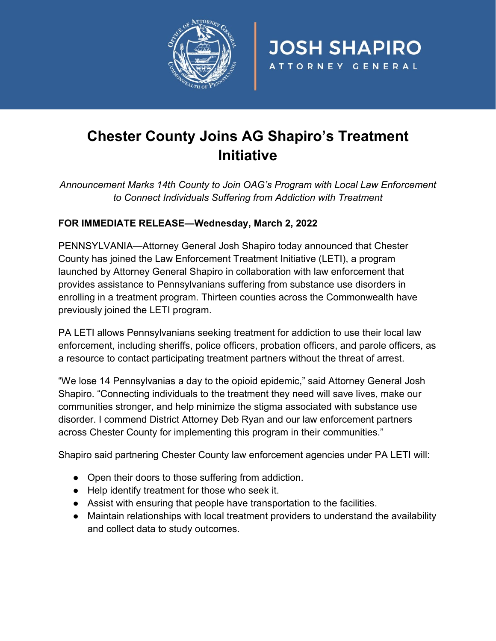

## **Chester County Joins AG Shapiro's Treatment Initiative**

**JOSH SHAPIRO** 

ATTORNEY GENERAL

*Announcement Marks 14th County to Join OAG's Program with Local Law Enforcement to Connect Individuals Suffering from Addiction with Treatment*

## **FOR IMMEDIATE RELEASE—Wednesday, March 2, 2022**

PENNSYLVANIA—Attorney General Josh Shapiro today announced that Chester County has joined the Law Enforcement Treatment Initiative (LETI), a program launched by Attorney General Shapiro in collaboration with law enforcement that provides assistance to Pennsylvanians suffering from substance use disorders in enrolling in a treatment program. Thirteen counties across the Commonwealth have previously joined the LETI program.

PA LETI allows Pennsylvanians seeking treatment for addiction to use their local law enforcement, including sheriffs, police officers, probation officers, and parole officers, as a resource to contact participating treatment partners without the threat of arrest.

"We lose 14 Pennsylvanias a day to the opioid epidemic," said Attorney General Josh Shapiro. "Connecting individuals to the treatment they need will save lives, make our communities stronger, and help minimize the stigma associated with substance use disorder. I commend District Attorney Deb Ryan and our law enforcement partners across Chester County for implementing this program in their communities."

Shapiro said partnering Chester County law enforcement agencies under PA LETI will:

- Open their doors to those suffering from addiction.
- Help identify treatment for those who seek it.
- Assist with ensuring that people have transportation to the facilities.
- Maintain relationships with local treatment providers to understand the availability and collect data to study outcomes.